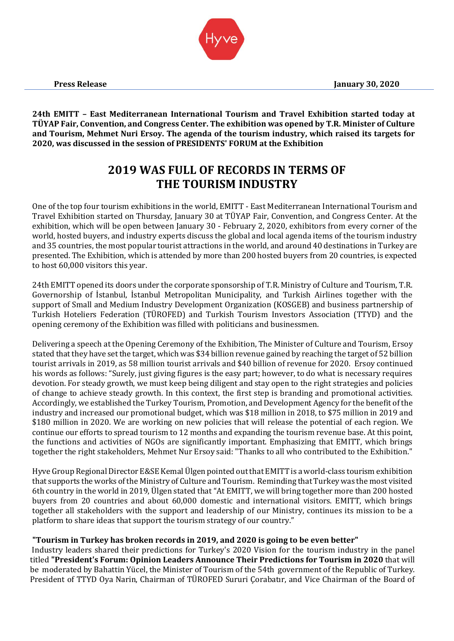**24th EMITT – East Mediterranean International Tourism and Travel Exhibition started today at TÜYAP Fair, Convention, and Congress Center. The exhibition was opened by T.R. Minister of Culture and Tourism, Mehmet Nuri Ersoy. The agenda of the tourism industry, which raised its targets for 2020, was discussed in the session of PRESIDENTS' FORUM at the Exhibition**

# **2019 WAS FULL OF RECORDS IN TERMS OF THE TOURISM INDUSTRY**

One of the top four tourism exhibitions in the world, EMITT - East Mediterranean International Tourism and Travel Exhibition started on Thursday, January 30 at TÜYAP Fair, Convention, and Congress Center. At the exhibition, which will be open between January 30 - February 2, 2020, exhibitors from every corner of the world, hosted buyers, and industry experts discuss the global and local agenda items of the tourism industry and 35 countries, the most popular tourist attractions in the world, and around 40 destinations in Turkey are presented. The Exhibition, which is attended by more than 200 hosted buyers from 20 countries, is expected to host 60,000 visitors this year.

24th EMITT opened its doors under the corporate sponsorship of T.R. Ministry of Culture and Tourism, T.R. Governorship of İstanbul, İstanbul Metropolitan Municipality, and Turkish Airlines together with the support of Small and Medium Industry Development Organization (KOSGEB) and business partnership of Turkish Hoteliers Federation (TÜROFED) and Turkish Tourism Investors Association (TTYD) and the opening ceremony of the Exhibition was filled with politicians and businessmen.

Delivering a speech at the Opening Ceremony of the Exhibition, The Minister of Culture and Tourism, Ersoy stated that they have set the target, which was \$34 billion revenue gained by reaching the target of 52 billion tourist arrivals in 2019, as 58 million tourist arrivals and \$40 billion of revenue for 2020. Ersoy continued his words as follows: "Surely, just giving figures is the easy part; however, to do what is necessary requires devotion. For steady growth, we must keep being diligent and stay open to the right strategies and policies of change to achieve steady growth. In this context, the first step is branding and promotional activities. Accordingly, we established the Turkey Tourism, Promotion, and Development Agency for the benefit of the industry and increased our promotional budget, which was \$18 million in 2018, to \$75 million in 2019 and \$180 million in 2020. We are working on new policies that will release the potential of each region. We continue our efforts to spread tourism to 12 months and expanding the tourism revenue base. At this point, the functions and activities of NGOs are significantly important. Emphasizing that EMITT, which brings together the right stakeholders, Mehmet Nur Ersoy said: "Thanks to all who contributed to the Exhibition."

Hyve Group Regional Director E&SE Kemal Ülgen pointed out that EMITT is a world-class tourism exhibition that supports the works of the Ministry of Culture and Tourism. Reminding that Turkey was the most visited 6th country in the world in 2019, Ülgen stated that "At EMITT, we will bring together more than 200 hosted buyers from 20 countries and about 60,000 domestic and international visitors. EMITT, which brings together all stakeholders with the support and leadership of our Ministry, continues its mission to be a platform to share ideas that support the tourism strategy of our country."

## **"Tourism in Turkey has broken records in 2019, and 2020 is going to be even better"**

Industry leaders shared their predictions for Turkey's 2020 Vision for the tourism industry in the panel titled **"President's Forum: Opinion Leaders Announce Their Predictions for Tourism in 2020** that will be moderated by Bahattin Yücel, the Minister of Tourism of the 54th government of the Republic of Turkey. President of TTYD Oya Narin, Chairman of TÜROFED Sururi Çorabatır, and Vice Chairman of the Board of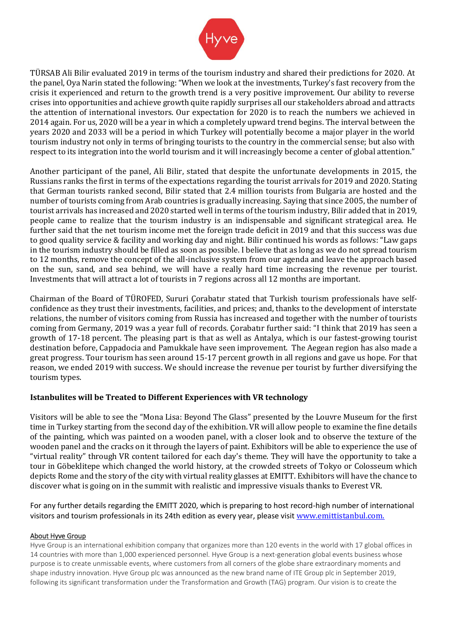

TÜRSAB Ali Bilir evaluated 2019 in terms of the tourism industry and shared their predictions for 2020. At the panel, Oya Narin stated the following: "When we look at the investments, Turkey's fast recovery from the crisis it experienced and return to the growth trend is a very positive improvement. Our ability to reverse crises into opportunities and achieve growth quite rapidly surprises all our stakeholders abroad and attracts the attention of international investors. Our expectation for 2020 is to reach the numbers we achieved in 2014 again. For us, 2020 will be a year in which a completely upward trend begins. The interval between the years 2020 and 2033 will be a period in which Turkey will potentially become a major player in the world tourism industry not only in terms of bringing tourists to the country in the commercial sense; but also with respect to its integration into the world tourism and it will increasingly become a center of global attention."

Another participant of the panel, Ali Bilir, stated that despite the unfortunate developments in 2015, the Russians ranks the first in terms of the expectations regarding the tourist arrivals for 2019 and 2020. Stating that German tourists ranked second, Bilir stated that 2.4 million tourists from Bulgaria are hosted and the number of tourists coming from Arab countries is gradually increasing. Saying that since 2005, the number of tourist arrivals has increased and 2020 started well in terms of the tourism industry, Bilir added that in 2019, people came to realize that the tourism industry is an indispensable and significant strategical area. He further said that the net tourism income met the foreign trade deficit in 2019 and that this success was due to good quality service & facility and working day and night. Bilir continued his words as follows: "Law gaps in the tourism industry should be filled as soon as possible. I believe that as long as we do not spread tourism to 12 months, remove the concept of the all-inclusive system from our agenda and leave the approach based on the sun, sand, and sea behind, we will have a really hard time increasing the revenue per tourist. Investments that will attract a lot of tourists in 7 regions across all 12 months are important.

Chairman of the Board of TÜROFED, Sururi Çorabatır stated that Turkish tourism professionals have selfconfidence as they trust their investments, facilities, and prices; and, thanks to the development of interstate relations, the number of visitors coming from Russia has increased and together with the number of tourists coming from Germany, 2019 was a year full of records. Çorabatır further said: "I think that 2019 has seen a growth of 17-18 percent. The pleasing part is that as well as Antalya, which is our fastest-growing tourist destination before, Cappadocia and Pamukkale have seen improvement. The Aegean region has also made a great progress. Tour tourism has seen around 15-17 percent growth in all regions and gave us hope. For that reason, we ended 2019 with success. We should increase the revenue per tourist by further diversifying the tourism types.

## **Istanbulites will be Treated to Different Experiences with VR technology**

Visitors will be able to see the "Mona Lisa: Beyond The Glass" presented by the Louvre Museum for the first time in Turkey starting from the second day of the exhibition. VR will allow people to examine the fine details of the painting, which was painted on a wooden panel, with a closer look and to observe the texture of the wooden panel and the cracks on it through the layers of paint. Exhibitors will be able to experience the use of "virtual reality" through VR content tailored for each day's theme. They will have the opportunity to take a tour in Göbeklitepe which changed the world history, at the crowded streets of Tokyo or Colosseum which depicts Rome and the story of the city with virtual reality glasses at EMITT. Exhibitors will have the chance to discover what is going on in the summit with realistic and impressive visuals thanks to Everest VR.

For any further details regarding the EMITT 2020, which is preparing to host record-high number of international visitors and tourism professionals in its 24th edition as every year, please visit www.emittistanbul.com.

#### About Hyve Group

Hyve Group is an international exhibition company that organizes more than 120 events in the world with 17 global offices in 14 countries with more than 1,000 experienced personnel. Hyve Group is a next-generation global events business whose purpose is to create unmissable events, where customers from all corners of the globe share extraordinary moments and shape industry innovation. Hyve Group plc was announced as the new brand name of ITE Group plc in September 2019, following its significant transformation under the Transformation and Growth (TAG) program. Our vision is to create the